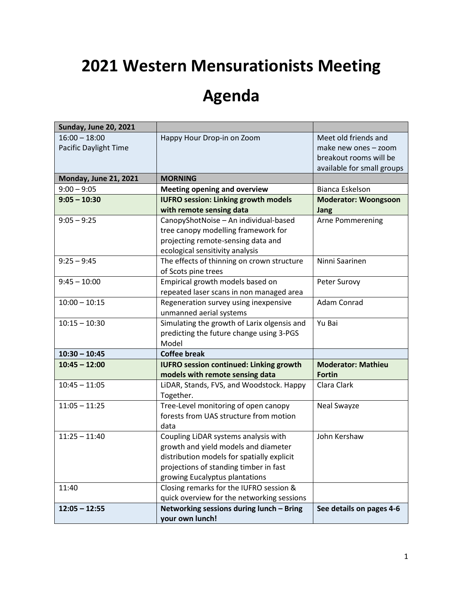# **2021 Western Mensurationists Meeting**

# **Agenda**

| <b>Sunday, June 20, 2021</b>             |                                                                                                                                                                                                        |                                                                                                      |
|------------------------------------------|--------------------------------------------------------------------------------------------------------------------------------------------------------------------------------------------------------|------------------------------------------------------------------------------------------------------|
| $16:00 - 18:00$<br>Pacific Daylight Time | Happy Hour Drop-in on Zoom                                                                                                                                                                             | Meet old friends and<br>make new ones - zoom<br>breakout rooms will be<br>available for small groups |
| <b>Monday, June 21, 2021</b>             | <b>MORNING</b>                                                                                                                                                                                         |                                                                                                      |
| $9:00 - 9:05$                            | <b>Meeting opening and overview</b>                                                                                                                                                                    | Bianca Eskelson                                                                                      |
| $9:05 - 10:30$                           | <b>IUFRO session: Linking growth models</b>                                                                                                                                                            | <b>Moderator: Woongsoon</b>                                                                          |
|                                          | with remote sensing data                                                                                                                                                                               | <b>Jang</b>                                                                                          |
| $9:05 - 9:25$                            | CanopyShotNoise - An individual-based<br>tree canopy modelling framework for<br>projecting remote-sensing data and<br>ecological sensitivity analysis                                                  | Arne Pommerening                                                                                     |
| $9:25 - 9:45$                            | The effects of thinning on crown structure<br>of Scots pine trees                                                                                                                                      | Ninni Saarinen                                                                                       |
| $9:45 - 10:00$                           | Empirical growth models based on<br>repeated laser scans in non managed area                                                                                                                           | Peter Surovy                                                                                         |
| $10:00 - 10:15$                          | Regeneration survey using inexpensive<br>unmanned aerial systems                                                                                                                                       | Adam Conrad                                                                                          |
| $10:15 - 10:30$                          | Simulating the growth of Larix olgensis and<br>predicting the future change using 3-PGS<br>Model                                                                                                       | Yu Bai                                                                                               |
| $10:30 - 10:45$                          | <b>Coffee break</b>                                                                                                                                                                                    |                                                                                                      |
| $10:45 - 12:00$                          | <b>IUFRO session continued: Linking growth</b><br>models with remote sensing data                                                                                                                      | <b>Moderator: Mathieu</b><br><b>Fortin</b>                                                           |
| $10:45 - 11:05$                          | LiDAR, Stands, FVS, and Woodstock. Happy<br>Together.                                                                                                                                                  | Clara Clark                                                                                          |
| $11:05 - 11:25$                          | Tree-Level monitoring of open canopy<br>forests from UAS structure from motion<br>data                                                                                                                 | Neal Swayze                                                                                          |
| $11:25 - 11:40$                          | Coupling LiDAR systems analysis with<br>growth and yield models and diameter<br>distribution models for spatially explicit<br>projections of standing timber in fast<br>growing Eucalyptus plantations | John Kershaw                                                                                         |
| 11:40                                    | Closing remarks for the IUFRO session &<br>quick overview for the networking sessions                                                                                                                  |                                                                                                      |
| $12:05 - 12:55$                          | Networking sessions during lunch - Bring<br>your own lunch!                                                                                                                                            | See details on pages 4-6                                                                             |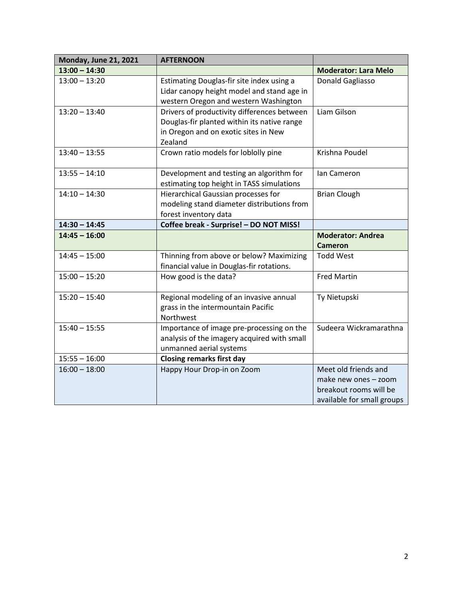| <b>Monday, June 21, 2021</b> | <b>AFTERNOON</b>                            |                             |
|------------------------------|---------------------------------------------|-----------------------------|
| $13:00 - 14:30$              |                                             | <b>Moderator: Lara Melo</b> |
| $13:00 - 13:20$              | Estimating Douglas-fir site index using a   | Donald Gagliasso            |
|                              | Lidar canopy height model and stand age in  |                             |
|                              | western Oregon and western Washington       |                             |
| $13:20 - 13:40$              | Drivers of productivity differences between | Liam Gilson                 |
|                              | Douglas-fir planted within its native range |                             |
|                              | in Oregon and on exotic sites in New        |                             |
|                              | Zealand                                     |                             |
| $13:40 - 13:55$              | Crown ratio models for loblolly pine        | Krishna Poudel              |
|                              |                                             |                             |
| $13:55 - 14:10$              | Development and testing an algorithm for    | Ian Cameron                 |
|                              | estimating top height in TASS simulations   |                             |
| $14:10 - 14:30$              | Hierarchical Gaussian processes for         | <b>Brian Clough</b>         |
|                              | modeling stand diameter distributions from  |                             |
|                              | forest inventory data                       |                             |
| $14:30 - 14:45$              | Coffee break - Surprise! - DO NOT MISS!     |                             |
| $14:45 - 16:00$              |                                             | <b>Moderator: Andrea</b>    |
|                              |                                             | <b>Cameron</b>              |
| $14:45 - 15:00$              | Thinning from above or below? Maximizing    | <b>Todd West</b>            |
|                              | financial value in Douglas-fir rotations.   |                             |
| $15:00 - 15:20$              | How good is the data?                       | <b>Fred Martin</b>          |
|                              |                                             |                             |
| $15:20 - 15:40$              | Regional modeling of an invasive annual     | Ty Nietupski                |
|                              | grass in the intermountain Pacific          |                             |
|                              | Northwest                                   |                             |
| $15:40 - 15:55$              | Importance of image pre-processing on the   | Sudeera Wickramarathna      |
|                              | analysis of the imagery acquired with small |                             |
|                              | unmanned aerial systems                     |                             |
| $15:55 - 16:00$              | <b>Closing remarks first day</b>            |                             |
| $16:00 - 18:00$              | Happy Hour Drop-in on Zoom                  | Meet old friends and        |
|                              |                                             | make new ones - zoom        |
|                              |                                             | breakout rooms will be      |
|                              |                                             | available for small groups  |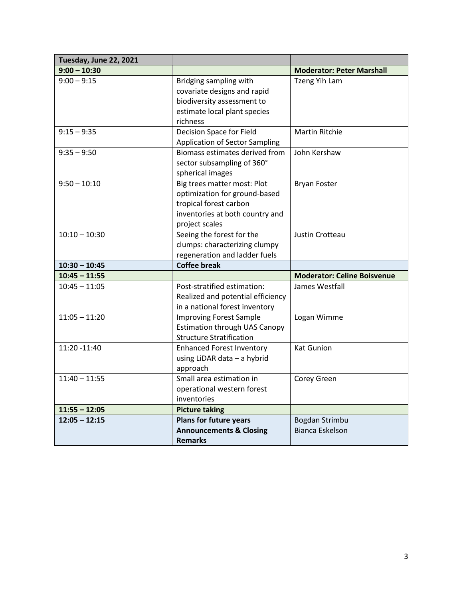| Tuesday, June 22, 2021 |                                                                                                                                             |                                          |
|------------------------|---------------------------------------------------------------------------------------------------------------------------------------------|------------------------------------------|
| $9:00 - 10:30$         |                                                                                                                                             | <b>Moderator: Peter Marshall</b>         |
| $9:00 - 9:15$          | Bridging sampling with<br>covariate designs and rapid<br>biodiversity assessment to<br>estimate local plant species<br>richness             | Tzeng Yih Lam                            |
| $9:15 - 9:35$          | Decision Space for Field<br><b>Application of Sector Sampling</b>                                                                           | <b>Martin Ritchie</b>                    |
| $9:35 - 9:50$          | Biomass estimates derived from<br>sector subsampling of 360°<br>spherical images                                                            | John Kershaw                             |
| $9:50 - 10:10$         | Big trees matter most: Plot<br>optimization for ground-based<br>tropical forest carbon<br>inventories at both country and<br>project scales | <b>Bryan Foster</b>                      |
| $10:10 - 10:30$        | Seeing the forest for the<br>clumps: characterizing clumpy<br>regeneration and ladder fuels                                                 | Justin Crotteau                          |
| $10:30 - 10:45$        | <b>Coffee break</b>                                                                                                                         |                                          |
| $10:45 - 11:55$        |                                                                                                                                             | <b>Moderator: Celine Boisvenue</b>       |
| $10:45 - 11:05$        | Post-stratified estimation:<br>Realized and potential efficiency<br>in a national forest inventory                                          | James Westfall                           |
| $11:05 - 11:20$        | <b>Improving Forest Sample</b><br><b>Estimation through UAS Canopy</b><br><b>Structure Stratification</b>                                   | Logan Wimme                              |
| 11:20 -11:40           | <b>Enhanced Forest Inventory</b><br>using LiDAR data - a hybrid<br>approach                                                                 | <b>Kat Gunion</b>                        |
| $11:40 - 11:55$        | Small area estimation in<br>operational western forest<br>inventories                                                                       | Corey Green                              |
| $11:55 - 12:05$        | <b>Picture taking</b>                                                                                                                       |                                          |
| $12:05 - 12:15$        | Plans for future years<br><b>Announcements &amp; Closing</b><br><b>Remarks</b>                                                              | Bogdan Strimbu<br><b>Bianca Eskelson</b> |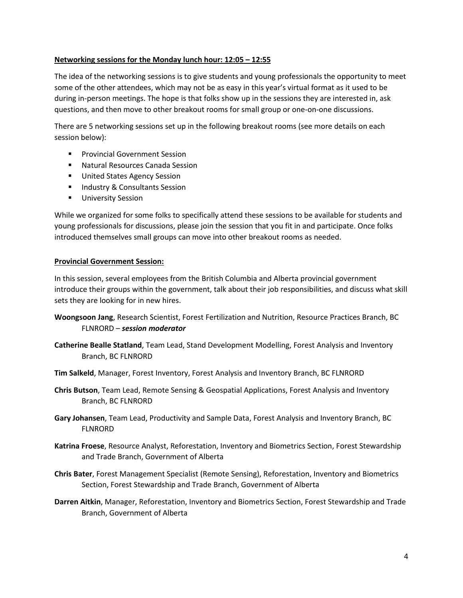## **Networking sessions for the Monday lunch hour: 12:05 – 12:55**

The idea of the networking sessions is to give students and young professionals the opportunity to meet some of the other attendees, which may not be as easy in this year's virtual format as it used to be during in-person meetings. The hope is that folks show up in the sessions they are interested in, ask questions, and then move to other breakout rooms for small group or one-on-one discussions.

There are 5 networking sessions set up in the following breakout rooms (see more details on each session below):

- Provincial Government Session
- Natural Resources Canada Session
- United States Agency Session
- Industry & Consultants Session
- **■** University Session

While we organized for some folks to specifically attend these sessions to be available for students and young professionals for discussions, please join the session that you fit in and participate. Once folks introduced themselves small groups can move into other breakout rooms as needed.

# **Provincial Government Session:**

In this session, several employees from the British Columbia and Alberta provincial government introduce their groups within the government, talk about their job responsibilities, and discuss what skill sets they are looking for in new hires.

- **Woongsoon Jang**, Research Scientist, Forest Fertilization and Nutrition, Resource Practices Branch, BC FLNRORD – *session moderator*
- **Catherine Bealle Statland**, Team Lead, Stand Development Modelling, Forest Analysis and Inventory Branch, BC FLNRORD
- **Tim Salkeld**, Manager, Forest Inventory, Forest Analysis and Inventory Branch, BC FLNRORD
- **Chris Butson**, Team Lead, Remote Sensing & Geospatial Applications, Forest Analysis and Inventory Branch, BC FLNRORD
- **Gary Johansen**, Team Lead, Productivity and Sample Data, Forest Analysis and Inventory Branch, BC FLNRORD
- **Katrina Froese**, Resource Analyst, Reforestation, Inventory and Biometrics Section, Forest Stewardship and Trade Branch, Government of Alberta
- **Chris Bater**, Forest Management Specialist (Remote Sensing), Reforestation, Inventory and Biometrics Section, Forest Stewardship and Trade Branch, Government of Alberta
- **Darren Aitkin**, Manager, Reforestation, Inventory and Biometrics Section, Forest Stewardship and Trade Branch, Government of Alberta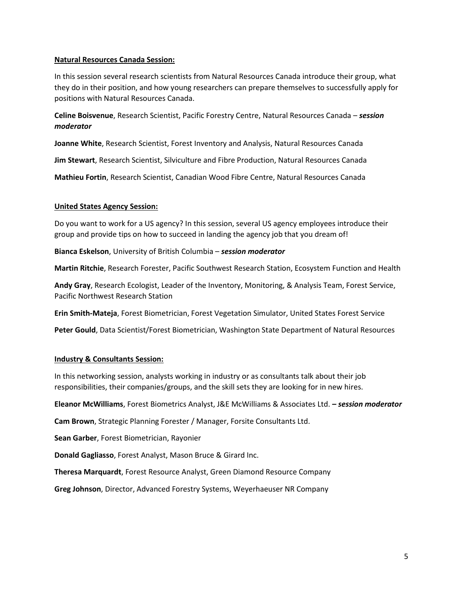#### **Natural Resources Canada Session:**

In this session several research scientists from Natural Resources Canada introduce their group, what they do in their position, and how young researchers can prepare themselves to successfully apply for positions with Natural Resources Canada.

**Celine Boisvenue**, Research Scientist, Pacific Forestry Centre, Natural Resources Canada – *session moderator*

**Joanne White**, Research Scientist, Forest Inventory and Analysis, Natural Resources Canada

**Jim Stewart**, Research Scientist, Silviculture and Fibre Production, Natural Resources Canada

**Mathieu Fortin**, Research Scientist, Canadian Wood Fibre Centre, Natural Resources Canada

#### **United States Agency Session:**

Do you want to work for a US agency? In this session, several US agency employees introduce their group and provide tips on how to succeed in landing the agency job that you dream of!

**Bianca Eskelson**, University of British Columbia – *session moderator*

**Martin Ritchie**, Research Forester, Pacific Southwest Research Station, Ecosystem Function and Health

**Andy Gray**, Research Ecologist, Leader of the Inventory, Monitoring, & Analysis Team, Forest Service, Pacific Northwest Research Station

**Erin Smith-Mateja**, Forest Biometrician, Forest Vegetation Simulator, United States Forest Service

**Peter Gould**, Data Scientist/Forest Biometrician, Washington State Department of Natural Resources

## **Industry & Consultants Session:**

In this networking session, analysts working in industry or as consultants talk about their job responsibilities, their companies/groups, and the skill sets they are looking for in new hires.

**Eleanor McWilliams**, Forest Biometrics Analyst, J&E McWilliams & Associates Ltd. *– session moderator*

**Cam Brown**, Strategic Planning Forester / Manager, Forsite Consultants Ltd.

**Sean Garber**, Forest Biometrician, Rayonier

**Donald Gagliasso**, Forest Analyst, Mason Bruce & Girard Inc.

**Theresa Marquardt**, Forest Resource Analyst, Green Diamond Resource Company

**Greg Johnson**, Director, Advanced Forestry Systems, Weyerhaeuser NR Company